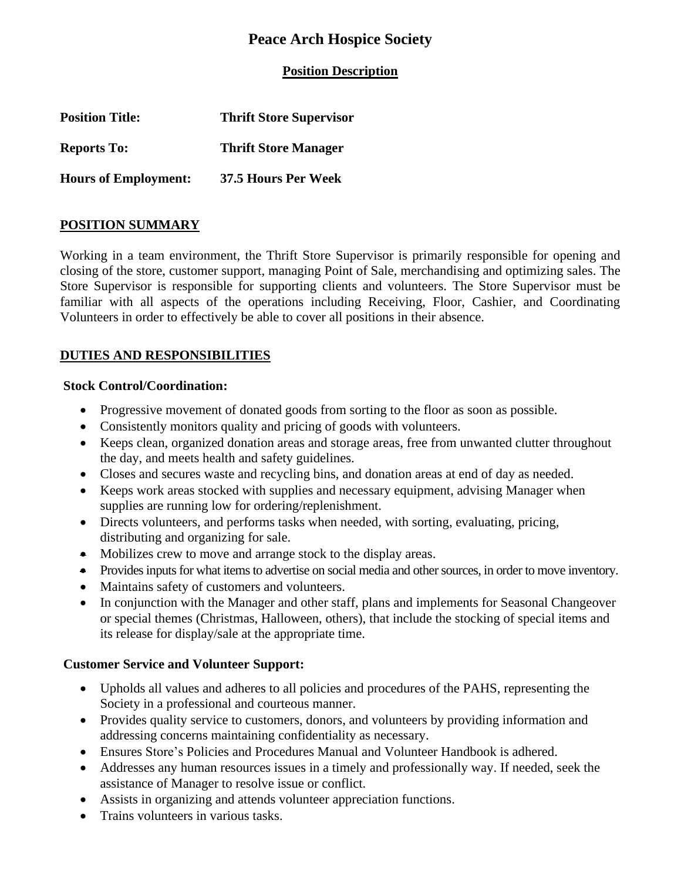# **Peace Arch Hospice Society**

**Position Description**

| <b>Position Title:</b>      | <b>Thrift Store Supervisor</b> |
|-----------------------------|--------------------------------|
| <b>Reports To:</b>          | <b>Thrift Store Manager</b>    |
| <b>Hours of Employment:</b> | 37.5 Hours Per Week            |

### **POSITION SUMMARY**

Working in a team environment, the Thrift Store Supervisor is primarily responsible for opening and closing of the store, customer support, managing Point of Sale, merchandising and optimizing sales. The Store Supervisor is responsible for supporting clients and volunteers. The Store Supervisor must be familiar with all aspects of the operations including Receiving, Floor, Cashier, and Coordinating Volunteers in order to effectively be able to cover all positions in their absence.

## **DUTIES AND RESPONSIBILITIES**

#### **Stock Control/Coordination:**

- Progressive movement of donated goods from sorting to the floor as soon as possible.
- Consistently monitors quality and pricing of goods with volunteers.
- Keeps clean, organized donation areas and storage areas, free from unwanted clutter throughout the day, and meets health and safety guidelines.
- Closes and secures waste and recycling bins, and donation areas at end of day as needed.
- Keeps work areas stocked with supplies and necessary equipment, advising Manager when supplies are running low for ordering/replenishment.
- Directs volunteers, and performs tasks when needed, with sorting, evaluating, pricing, distributing and organizing for sale.
- Mobilizes crew to move and arrange stock to the display areas.
- Provides inputs for what items to advertise on social media and other sources, in order to move inventory.
- Maintains safety of customers and volunteers.
- In conjunction with the Manager and other staff, plans and implements for Seasonal Changeover or special themes (Christmas, Halloween, others), that include the stocking of special items and its release for display/sale at the appropriate time.

### **Customer Service and Volunteer Support:**

- Upholds all values and adheres to all policies and procedures of the PAHS, representing the Society in a professional and courteous manner.
- Provides quality service to customers, donors, and volunteers by providing information and addressing concerns maintaining confidentiality as necessary.
- Ensures Store's Policies and Procedures Manual and Volunteer Handbook is adhered.
- Addresses any human resources issues in a timely and professionally way. If needed, seek the assistance of Manager to resolve issue or conflict.
- Assists in organizing and attends volunteer appreciation functions.
- Trains volunteers in various tasks.